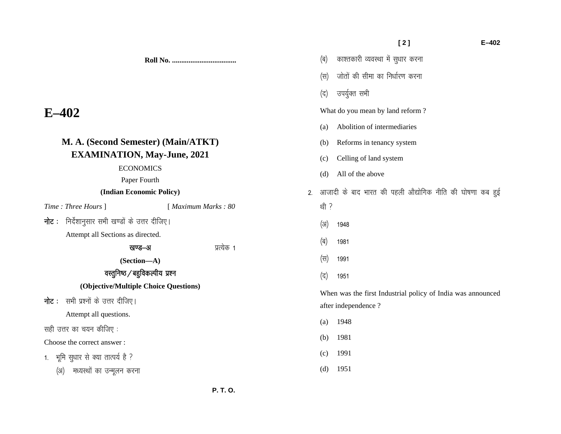**Roll No. ...................................** 

# **E–402**

| M. A. (Second Semester) (Main/ATKT)               |                     | Reforms in tenancy system<br>(b)                              |  |  |  |
|---------------------------------------------------|---------------------|---------------------------------------------------------------|--|--|--|
| <b>EXAMINATION, May-June, 2021</b>                |                     | Celling of land system<br>(c)                                 |  |  |  |
| <b>ECONOMICS</b>                                  |                     | All of the above<br>(d)                                       |  |  |  |
| Paper Fourth                                      |                     |                                                               |  |  |  |
| (Indian Economic Policy)                          |                     | आजादी के बाद भारत की पहली औद्योगिक नीति की घोषणा कब हुई<br>2. |  |  |  |
| Time: Three Hours ]                               | [ Maximum Marks: 80 | थी ?                                                          |  |  |  |
| निर्देशानुसार सभी खण्डों के उत्तर दीजिए।<br>नोट : |                     | (3I)<br>1948                                                  |  |  |  |
| Attempt all Sections as directed.                 |                     | (ब)<br>1981                                                   |  |  |  |
| प्रत्येक 1<br>खण्ड–अ<br>(Section-A)               |                     | (स)<br>1991                                                   |  |  |  |
| वस्तुनिष्ठ / बहुविकल्पीय प्रश्न                   |                     | (द)<br>1951                                                   |  |  |  |
| (Objective/Multiple Choice Questions)             |                     |                                                               |  |  |  |
| <b>नोट</b> :    सभी प्रश्नों के उत्तर दीजिए।      |                     | When was the first Industrial policy of India was announced   |  |  |  |
|                                                   |                     | after independence?                                           |  |  |  |
| Attempt all questions.                            |                     | 1948<br>(a)                                                   |  |  |  |
| सही उत्तर का चयन कीजिए :                          |                     |                                                               |  |  |  |
| Choose the correct answer:                        |                     | 1981<br>(b)                                                   |  |  |  |
| 1. भूमि सुधार से क्या तात्पर्य है ?               |                     | 1991<br>(c)                                                   |  |  |  |
| मध्यस्थों का उन्मूलन करना<br>(3I)                 |                     | 1951<br>(d)                                                   |  |  |  |

(ब) काश्तकारी व्यवस्था में सुधार करना

(स) जोतों की सीमा का निर्धारण करना

What do you mean by land reform ?

(a) Abolition of intermediaries

(द) उपर्युक्त सभी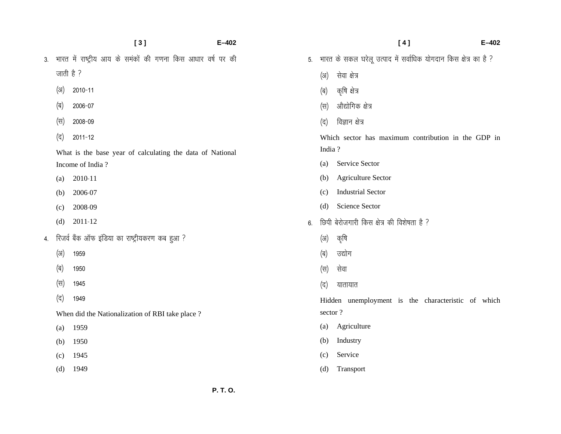**[ 3 ] E–402**  3. भारत में राष्ट्रीय आय के समंकों की गणना किस आधार वर्ष पर की जाती है $?$  $(x)$  2010-11 (ब) 2006-07  $(\forall i)$  2008-09 (द) 2011-12 What is the base year of calculating the data of National Income of India ?  $(a) 2010-11$  $(b)$  2006-07  $(c)$  2008-09 (d)  $2011-12$ 4. रिजर्व बैंक ऑफ इंडिया का राष्ट्रीयकरण कब हुआ ?  $(x)$  1959 (ब) 1950  $(\overline{H})$  1945 (द) 1949 When did the Nationalization of RBI take place ? (a) 1959 (b) 1950 (c) 1945 (d) 1949

 **[ 4 ] E–402**  5. भारत के सकल घरेलू उत्पाद में सर्वाधिक योगदान किस क्षेत्र का है ? (अ) सेवा क्षेत्र (ब) कृषि क्षेत्र (स) औद्योगिक क्षेत्र (द) विज्ञान क्षेत्र Which sector has maximum contribution in the GDP in India ? (a) Service Sector (b) Agriculture Sector (c) Industrial Sector (d) Science Sector  $6.$  छिपी बेरोजगारी किस क्षेत्र की विशेषता है ? (अ) कृषि (ब) उद्योग (स) सेवा (द) यातायात Hidden unemployment is the characteristic of which sector ? (a) Agriculture (b) Industry (c) Service

(d) Transport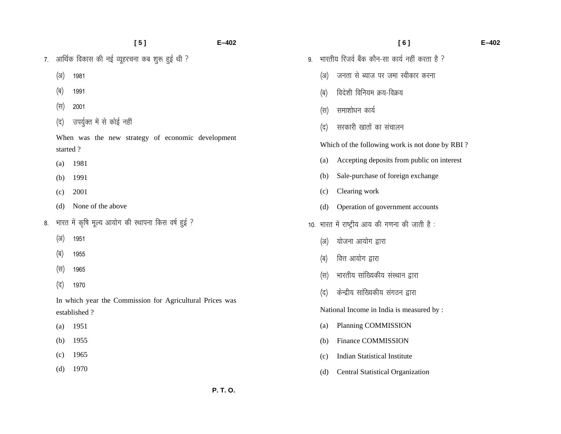|    |          | [5]                                                                      | $E - 402$ |    |      | [6]                                             |
|----|----------|--------------------------------------------------------------------------|-----------|----|------|-------------------------------------------------|
| 7. |          | आर्थिक विकास की नई व्यूहरचना कब शुरू हुई थी ?                            |           | 9. |      | भारतीय रिजर्व बैंक कौन-सा कार्य नहीं करता है ?  |
|    | (3I)     | 1981                                                                     |           |    | (3)  | जनता से ब्याज पर जमा स्वीकार करना               |
|    | (ब)      | 1991                                                                     |           |    | (ब)  | विदेशी विनियम क्रय-विक्रय                       |
|    | (स)      | 2001                                                                     |           |    | (स)  | समाशोधन कार्य                                   |
|    | (द)      | उपर्युक्त में से कोई नहीं                                                |           |    | (द)  | सरकारी खातों का संचालन                          |
|    | started? | When was the new strategy of economic development                        |           |    |      | Which of the following work is not done by RBI? |
|    | (a)      | 1981                                                                     |           |    | (a)  | Accepting deposits from public on interest      |
|    | (b)      | 1991                                                                     |           |    | (b)  | Sale-purchase of foreign exchange               |
|    | (c)      | 2001                                                                     |           |    | (c)  | Clearing work                                   |
|    | (d)      | None of the above                                                        |           |    | (d)  | Operation of government accounts                |
| 8. |          | भारत में कृषि मूल्य आयोग की स्थापना किस वर्ष हुई ?                       |           |    |      | 10. भारत में राष्ट्रीय आय की गणना की जाती है:   |
|    | (3I)     | 1951                                                                     |           |    | (3I) | योजना आयोग द्वारा                               |
|    | (ब)      | 1955                                                                     |           |    | (ब)  | वित्त आयोग द्वारा                               |
|    | (स)      | 1965                                                                     |           |    | (स)  | भारतीय सांख्यिकीय संस्थान द्वारा                |
|    | (द)      | 1970                                                                     |           |    | (द)  | केन्द्रीय सांख्यिकीय संगठन द्वारा               |
|    |          | In which year the Commission for Agricultural Prices was<br>established? |           |    |      | National Income in India is measured by :       |
|    | (a)      | 1951                                                                     |           |    | (a)  | Planning COMMISSION                             |
|    | (b)      | 1955                                                                     |           |    | (b)  | <b>Finance COMMISSION</b>                       |
|    | (c)      | 1965                                                                     |           |    | (c)  | <b>Indian Statistical Institute</b>             |

(d) Central Statistical Organization

 **[ 6 ] E–402** 

(d) 1970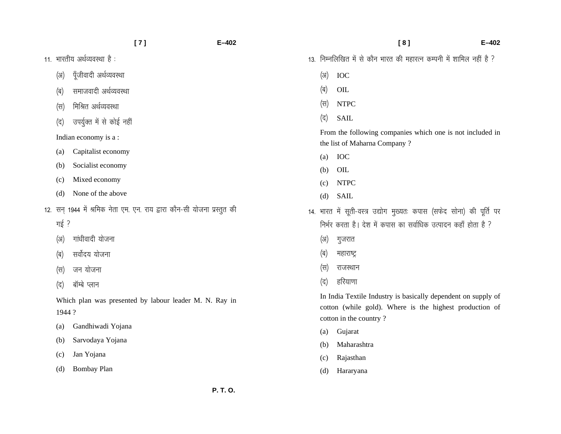- 11. भारतीय अर्थव्यवस्था है:
	- (अ) पूँजीवादी अर्थव्यवस्था
	- (ब) समाजवादी अर्थव्यवस्था
	- (स) मिश्रित अर्थव्यवस्था
	- (द) उपर्युक्त में से कोई नहीं

Indian economy is a :

- (a) Capitalist economy
- (b) Socialist economy
- (c) Mixed economy
- (d) None of the above
- 12. सन् 1944 में श्रमिक नेता एम. एन. राय द्वारा कौन-सी योजना प्रस्तुत की
	- गई ?
	- (अ) गांधीवादी योजना
	- (ब) सर्वोदय योजना
	- (स) जन योजना
	- (द) बॉम्बे प्लान

Which plan was presented by labour leader M. N. Ray in 1944 ?

- (a) Gandhiwadi Yojana
- (b) Sarvodaya Yojana
- (c) Jan Yojana
- (d) Bombay Plan

 **[ 8 ] E–402**  13. निम्नलिखित में से कौन भारत की महारत्न कम्पनी में शामिल नहीं है ?  $\langle 3 \rangle$  IOC  $\overline{q}$  OIL (स) NTPC (द) SAIL From the following companies which one is not included in the list of Maharna Company ? (a) IOC (b) OIL (c) NTPC (d) SAIL 14. भारत में सूती-वस्त्र उद्योग मुख्यतः कपास (सफेद सोना) की पूर्ति पर निर्भर करता है। देश में कपास का सर्वाधिक उत्पादन कहाँ होता है ? (अ) गुजरात (ब) महाराष्ट्र (स) राजस्थान (द) हरियाणा In India Textile Industry is basically dependent on supply of cotton (while gold). Where is the highest production of cotton in the country ? (a) Gujarat

- (b) Maharashtra
- (c) Rajasthan
- (d) Hararyana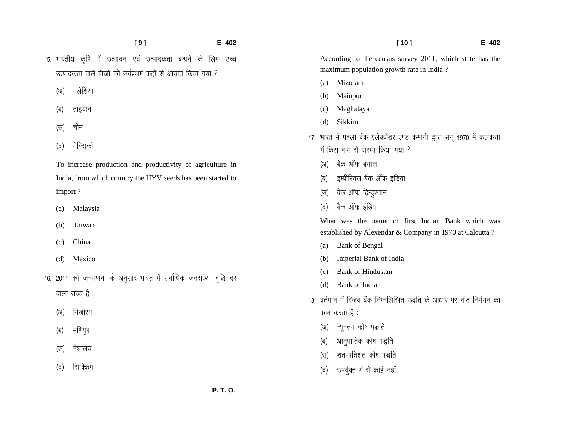- **[ 9 ] E–402**  15. भारतीय कृषि में उत्पादन एवं उत्पादकता बढ़ाने के लिए उच्च उत्पादकता वाले बीजों को सर्वप्रथम कहाँ से आयात किया गया  $\Omega$ 
	- (अ) मलेशिया
	- (ब) ताइवान
	- (स) चीन
	- (द) मेक्सिको

To increase production and productivity of agriculture in India, from which country the HYV seeds has been started to import ?

- (a) Malaysia
- (b) Taiwan
- (c) China
- (d) Mexico
- 16. 2011 की जनगणना के अनुसार भारत में सर्वाधिक जनसंख्या वृद्धि दर

वाला राज्य है $:$ 

- (अ) मिजोरम
- (ब) मणिपुर
- (स) मेघालय
- (द) सिक्किम

 **[ 10 ] E–402**  According to the census survey 2011, which state has the maximum population growth rate in India ? (a) Mizoram (b) Mainpur (c) Meghalaya (d) Sikkim 17. भारत में पहला बैंक एलेक्जेंडर एण्ड कम्पनी द्वारा सन् 1970 में कलकत्ता

- में किस नाम से प्रारम्भ किया गया ?
	- (अ) बैंक ऑफ बंगाल
	- (ब) इम्पीरियल बैंक ऑफ इंडिया
	- (स) बैंक ऑफ हिन्दुस्तान
	- (द) बैंक ऑफ इंडिया

What was the name of first Indian Bank which was established by Alexendar & Company in 1970 at Calcutta ?

- (a) Bank of Bengal
- (b) Imperial Bank of India
- (c) Bank of Hindustan
- (d) Bank of India
- 18. वर्तमान में रिजर्व बैंक निम्नलिखित पद्धति के आधार पर नोट निर्गमन का काम करता है $:$ 
	- (अ) न्यूनतम कोष पद्धति
	- (ब) आनुपातिक कोष पद्धति
	- (स) शत-प्रतिशत कोष पद्धति
	- (द) उपर्युक्त में से कोई नहीं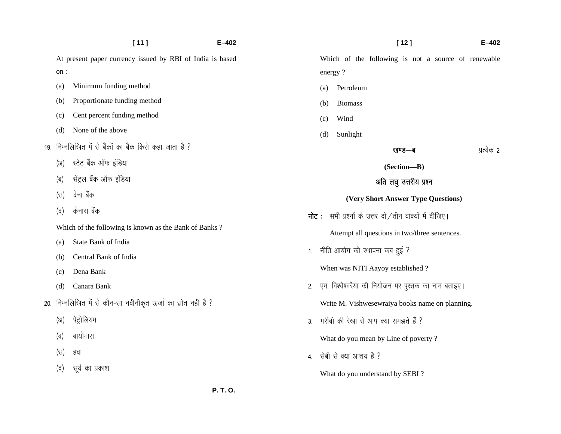|      | [11]                                                           | $E - 402$      | $[12]$<br>$E - 402$                                           |
|------|----------------------------------------------------------------|----------------|---------------------------------------------------------------|
|      | At present paper currency issued by RBI of India is based      |                | Which of the following is not a source of renewable           |
| on:  |                                                                |                | energy?                                                       |
| (a)  | Minimum funding method                                         |                | Petroleum<br>(a)                                              |
| (b)  | Proportionate funding method                                   |                | <b>Biomass</b><br>(b)                                         |
| (c)  | Cent percent funding method                                    |                | Wind<br>(c)                                                   |
| (d)  | None of the above                                              |                | Sunlight<br>(d)                                               |
|      | 19. निम्नलिखित में से बैंकों का बैंक किसे कहा जाता है ?        |                | प्रत्येक 2<br>खण्ड—ब                                          |
| (3I) | स्टेट बैंक ऑफ इंडिया                                           |                | (Section-B)                                                   |
| (ब)  | सेंट्रल बैंक ऑफ इंडिया                                         |                | अति लघु उत्तरीय प्रश्न                                        |
| (स)  | देना बैंक                                                      |                | (Very Short Answer Type Questions)                            |
| (द)  | केनारा बैंक                                                    |                | <b>नोट</b> : सभी प्रश्नों के उत्तर दो /तीन वाक्यों में दीजिए। |
|      | Which of the following is known as the Bank of Banks?          |                | Attempt all questions in two/three sentences.                 |
| (a)  | State Bank of India                                            |                |                                                               |
| (b)  | Central Bank of India                                          | 1.             | नीति आयोग की स्थापना कब हुई ?                                 |
| (c)  | Dena Bank                                                      |                | When was NITI Aayoy established?                              |
| (d)  | Canara Bank                                                    | 2.             | एम. विश्वेश्वरैया की नियोजन पर पुस्तक का नाम बताइए।           |
|      | 20. निम्नलिखित में से कौन-सा नवीनीकृत ऊर्जा का स्रोत नहीं है ? |                | Write M. Vishwesewraiya books name on planning.               |
| (3I) | पेट्रोलियम                                                     | 3 <sub>1</sub> | गरीबी की रेखा से आप क्या समझते हैं ?                          |
| (ब)  | बायोमास                                                        |                | What do you mean by Line of poverty?                          |
| (स)  | हवा                                                            |                | 4. सेबी से क्या आशय है ?                                      |
| (द)  | सूर्य का प्रकाश                                                |                | What do you understand by SEBI?                               |
|      |                                                                | P. T. O.       |                                                               |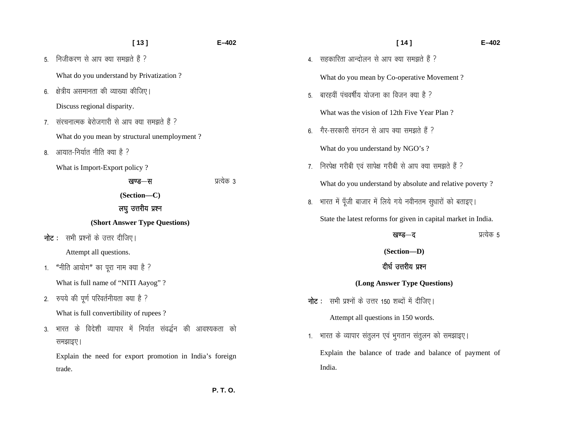| [13]<br>E-402                                                      |  |
|--------------------------------------------------------------------|--|
| निजीकरण से आप क्या समझते हैं ?                                     |  |
| What do you understand by Privatization?                           |  |
| क्षेत्रीय असमानता की व्याख्या कीजिए।                               |  |
| Discuss regional disparity.                                        |  |
| संरचनात्मक बेरोजगारी से आप क्या समझते हैं ?                        |  |
| What do you mean by structural unemployment?                       |  |
| आयात-निर्यात नीति क्या है ?                                        |  |
| What is Import-Export policy?                                      |  |
| प्रत्येक 3<br>खण्ड—स                                               |  |
| (Section-C)                                                        |  |
| लघु उत्तरीय प्रश्न                                                 |  |
| (Short Answer Type Questions)                                      |  |
| <b>नोट</b> : सभी प्रश्नों के उत्तर दीजिए।                          |  |
| Attempt all questions.                                             |  |
| "नीति आयोग" का पूरा नाम क्या है ?                                  |  |
| What is full name of "NITI Aayog"?                                 |  |
| रुपये की पूर्ण परिवर्तनीयता क्या है ?                              |  |
| What is full convertibility of rupees?                             |  |
| भारत के विदेशी व्यापार में निर्यात संवर्द्धन की आवश्यकता को        |  |
|                                                                    |  |
| समझाइए।                                                            |  |
| Explain the need for export promotion in India's foreign<br>trade. |  |
|                                                                    |  |

 **P. T. O.**

India.

|                              | $[14]$                                                         | $E - 402$  |  |  |  |  |
|------------------------------|----------------------------------------------------------------|------------|--|--|--|--|
| 4.                           | सहकारिता आन्दोलन से आप क्या समझते हैं ?                        |            |  |  |  |  |
|                              | What do you mean by Co-operative Movement?                     |            |  |  |  |  |
| 5.                           | बारहवीं पंचवर्षीय योजना का विजन क्या है ?                      |            |  |  |  |  |
|                              | What was the vision of 12th Five Year Plan?                    |            |  |  |  |  |
| 6.                           | गैर-सरकारी संगठन से आप क्या समझते हैं ?                        |            |  |  |  |  |
|                              | What do you understand by NGO's ?                              |            |  |  |  |  |
| 7 <sub>1</sub>               | निरपेक्ष गरीबी एवं सापेक्ष गरीबी से आप क्या समझते हैं ?        |            |  |  |  |  |
|                              | What do you understand by absolute and relative poverty?       |            |  |  |  |  |
| 8.                           | भारत में पूँजी बाजार में लिये गये नवीनतम सुधारों को बताइए।     |            |  |  |  |  |
|                              | State the latest reforms for given in capital market in India. |            |  |  |  |  |
|                              | खण्ड—द                                                         | प्रत्येक 5 |  |  |  |  |
| (Section-D)                  |                                                                |            |  |  |  |  |
| दीर्घ उत्तरीय प्रश्न         |                                                                |            |  |  |  |  |
| (Long Answer Type Questions) |                                                                |            |  |  |  |  |
|                              | <b>नोट</b> : सभी प्रश्नों के उत्तर 150 शब्दों में दीजिए।       |            |  |  |  |  |
|                              | Attempt all questions in 150 words.                            |            |  |  |  |  |
| 1.                           | भारत के व्यापार संतुलन एवं भुगतान संतुलन को समझाइए।            |            |  |  |  |  |
|                              | Explain the balance of trade and balance of payment of         |            |  |  |  |  |